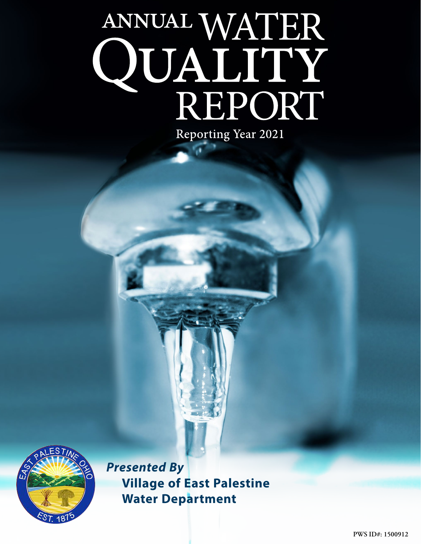# ANNUAL WATER<br>QUALITY<br>REPORT Reporting Year 2021



*Presented By* **Village of East Palestine Water Department**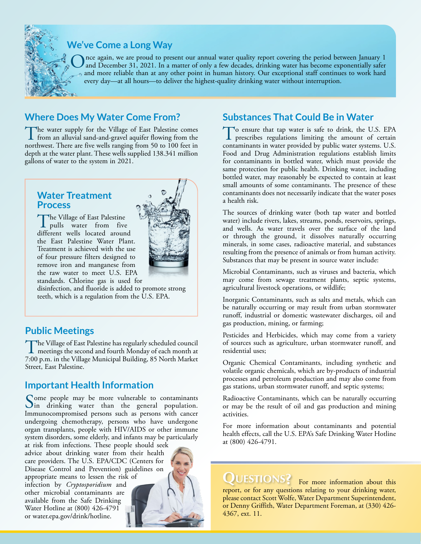

# **We've Come a Long Way**

Once again, we are proud to present our annual water quality report covering the period between January 1 and December 31, 2021. In a matter of only a few decades, drinking water has become exponentially safer and more reliable than at any other point in human history. Our exceptional staff continues to work hard every day—at all hours—to deliver the highest-quality drinking water without interruption.

# **Where Does My Water Come From?**

The water supply for the Village of East Palestine comes<br>from an alluvial sand-and-gravel aquifer flowing from the<br>markers Theorem Generally species from 50 to 100 for the northwest. There are five wells ranging from 50 to 100 feet in depth at the water plant. These wells supplied 138.341 million gallons of water to the system in 2021.

## **Water Treatment Process**

The Village of East Palestine<br>pulls water from five<br>different pulls leasted ensures different wells located around the East Palestine Water Plant. Treatment is achieved with the use of four pressure filters designed to remove iron and manganese from the raw water to meet U.S. EPA standards. Chlorine gas is used for



disinfection, and fluoride is added to promote strong teeth, which is a regulation from the U.S. EPA.

# **Public Meetings**

The Village of East Palestine has regularly scheduled council<br>meetings the second and fourth Monday of each month at<br>7.00 nm in the Village Montainal Building 25 Number 7:00 p.m. in the Village Municipal Building, 85 North Market Street, East Palestine.

# **Important Health Information**

Some people may be more vulnerable to contaminants<br>In drinking water than the general population. Immunocompromised persons such as persons with cancer undergoing chemotherapy, persons who have undergone organ transplants, people with HIV/AIDS or other immune system disorders, some elderly, and infants may be particularly

at risk from infections. These people should seek advice about drinking water from their health care providers. The U.S. EPA/CDC (Centers for Disease Control and Prevention) guidelines on appropriate means to lessen the risk of

infection by *Cryptosporidium* and other microbial contaminants are available from the Safe Drinking Water Hotline at (800) 426-4791 or [water.epa.gov/drink/hotline.](http://water.epa.gov/drink/hotline)



# **Substances That Could Be in Water**

To ensure that tap water is safe to drink, the U.S. EPA prescribes regulations limiting the amount of certain contaminants in water provided by public water systems. U.S. Food and Drug Administration regulations establish limits for contaminants in bottled water, which must provide the same protection for public health. Drinking water, including bottled water, may reasonably be expected to contain at least small amounts of some contaminants. The presence of these contaminants does not necessarily indicate that the water poses a health risk.

The sources of drinking water (both tap water and bottled water) include rivers, lakes, streams, ponds, reservoirs, springs, and wells. As water travels over the surface of the land or through the ground, it dissolves naturally occurring minerals, in some cases, radioactive material, and substances resulting from the presence of animals or from human activity. Substances that may be present in source water include:

Microbial Contaminants, such as viruses and bacteria, which may come from sewage treatment plants, septic systems, agricultural livestock operations, or wildlife;

Inorganic Contaminants, such as salts and metals, which can be naturally occurring or may result from urban stormwater runoff, industrial or domestic wastewater discharges, oil and gas production, mining, or farming;

Pesticides and Herbicides, which may come from a variety of sources such as agriculture, urban stormwater runoff, and residential uses;

Organic Chemical Contaminants, including synthetic and volatile organic chemicals, which are by-products of industrial processes and petroleum production and may also come from gas stations, urban stormwater runoff, and septic systems;

Radioactive Contaminants, which can be naturally occurring or may be the result of oil and gas production and mining activities.

For more information about contaminants and potential health effects, call the U.S. EPA's Safe Drinking Water Hotline at (800) 426-4791.

QUESTIONS? For more information about this report, or for any questions relating to your drinking water, please contact Scott Wolfe, Water Department Superintendent, or Denny Griffith, Water Department Foreman, at (330) 426- 4367, ext. 11.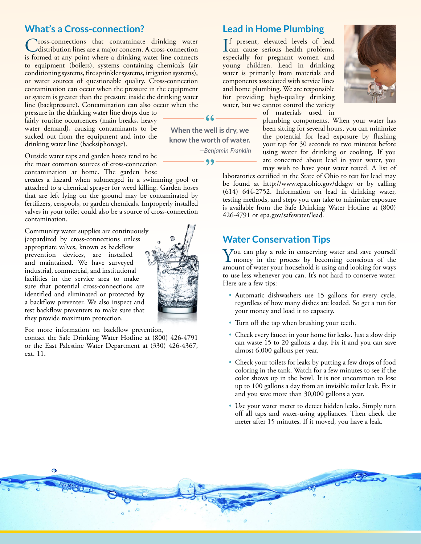## **What's a Cross-connection?**

**Tross-connections** that contaminate drinking water distribution lines are a major concern. A cross-connection is formed at any point where a drinking water line connects to equipment (boilers), systems containing chemicals (air conditioning systems, fire sprinkler systems, irrigation systems), or water sources of questionable quality. Cross-connection contamination can occur when the pressure in the equipment or system is greater than the pressure inside the drinking water line (backpressure). Contamination can also occur when the

pressure in the drinking water line drops due to fairly routine occurrences (main breaks, heavy water demand), causing contaminants to be sucked out from the equipment and into the drinking water line (backsiphonage).

Outside water taps and garden hoses tend to be the most common sources of cross-connection contamination at home. The garden hose

creates a hazard when submerged in a swimming pool or attached to a chemical sprayer for weed killing. Garden hoses that are left lying on the ground may be contaminated by fertilizers, cesspools, or garden chemicals. Improperly installed valves in your toilet could also be a source of cross-connection contamination.

Community water supplies are continuously jeopardized by cross-connections unless appropriate valves, known as backflow prevention devices, are installed and maintained. We have surveyed industrial, commercial, and institutional facilities in the service area to make sure that potential cross-connections are identified and eliminated or protected by a backflow preventer. We also inspect and test backflow preventers to make sure that they provide maximum protection.

For more information on backflow prevention,

contact the Safe Drinking Water Hotline at (800) 426-4791 or the East Palestine Water Department at (330) 426-4367, ext. 11.

**Lead in Home Plumbing**

If present, elevated levels of lead<br>
can cause serious health problems,<br>
serious for assessment weapons and can cause serious health problems, especially for pregnant women and young children. Lead in drinking water is primarily from materials and components associated with service lines and home plumbing. We are responsible for providing high-quality drinking water, but we cannot control the variety



of materials used in

plumbing components. When your water has been sitting for several hours, you can minimize the potential for lead exposure by flushing your tap for 30 seconds to two minutes before using water for drinking or cooking. If you are concerned about lead in your water, you may wish to have your water tested. A list of

laboratories certified in the State of Ohio to test for lead may be found at <http://www.epa.ohio.gov/ddagw> or by calling (614) 644-2752. Information on lead in drinking water, testing methods, and steps you can take to minimize exposure is available from the Safe Drinking Water Hotline at (800) 426-4791 or [epa.gov/safewater/lead](http://epa.gov/safewater/lead).

### **Water Conservation Tips**

You can play a role in conserving water and save yourself<br>money in the process by becoming conscious of the<br>money of the process by becoming conscious of the amount of water your household is using and looking for ways to use less whenever you can. It's not hard to conserve water. Here are a few tips:

- Automatic dishwashers use 15 gallons for every cycle, regardless of how many dishes are loaded. So get a run for your money and load it to capacity.
- Turn off the tap when brushing your teeth.
- Check every faucet in your home for leaks. Just a slow drip can waste 15 to 20 gallons a day. Fix it and you can save almost 6,000 gallons per year.
- Check your toilets for leaks by putting a few drops of food coloring in the tank. Watch for a few minutes to see if the color shows up in the bowl. It is not uncommon to lose up to 100 gallons a day from an invisible toilet leak. Fix it and you save more than 30,000 gallons a year.
- Use your water meter to detect hidden leaks. Simply turn off all taps and water-using appliances. Then check the meter after 15 minutes. If it moved, you have a leak.



 $66$ 

**When the well is dry, we know the worth of water.** *—Benjamin Franklin*

99